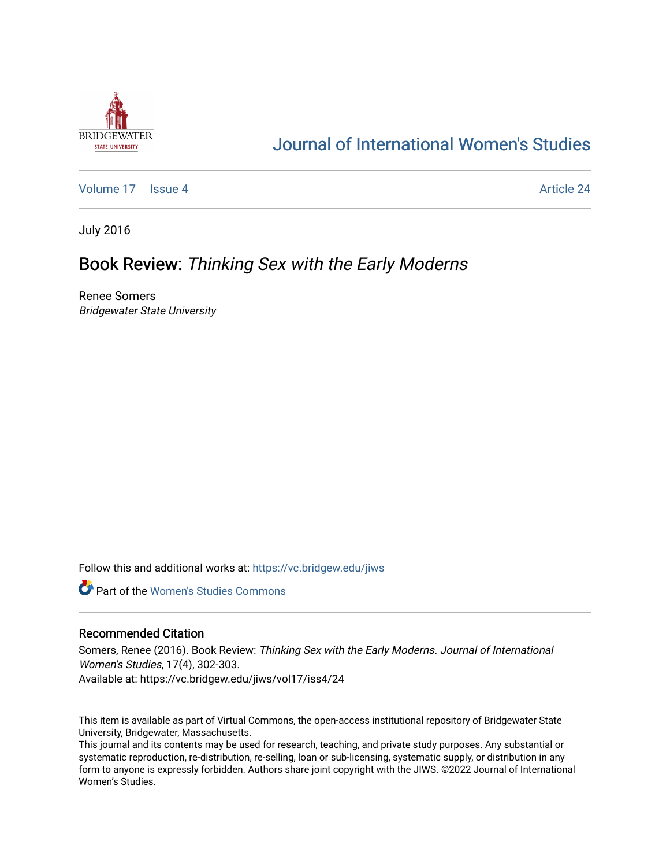

# [Journal of International Women's Studies](https://vc.bridgew.edu/jiws)

[Volume 17](https://vc.bridgew.edu/jiws/vol17) | [Issue 4](https://vc.bridgew.edu/jiws/vol17/iss4) Article 24

July 2016

## Book Review: Thinking Sex with the Early Moderns

Renee Somers Bridgewater State University

Follow this and additional works at: [https://vc.bridgew.edu/jiws](https://vc.bridgew.edu/jiws?utm_source=vc.bridgew.edu%2Fjiws%2Fvol17%2Fiss4%2F24&utm_medium=PDF&utm_campaign=PDFCoverPages)

**C** Part of the Women's Studies Commons

### Recommended Citation

Somers, Renee (2016). Book Review: Thinking Sex with the Early Moderns. Journal of International Women's Studies, 17(4), 302-303. Available at: https://vc.bridgew.edu/jiws/vol17/iss4/24

This item is available as part of Virtual Commons, the open-access institutional repository of Bridgewater State University, Bridgewater, Massachusetts.

This journal and its contents may be used for research, teaching, and private study purposes. Any substantial or systematic reproduction, re-distribution, re-selling, loan or sub-licensing, systematic supply, or distribution in any form to anyone is expressly forbidden. Authors share joint copyright with the JIWS. ©2022 Journal of International Women's Studies.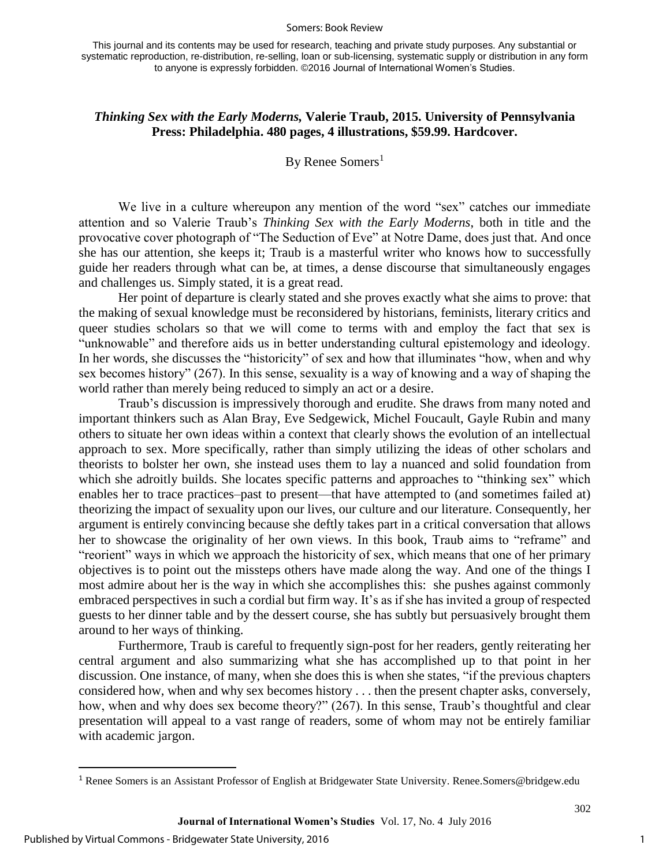#### Somers: Book Review

This journal and its contents may be used for research, teaching and private study purposes. Any substantial or systematic reproduction, re-distribution, re-selling, loan or sub-licensing, systematic supply or distribution in any form to anyone is expressly forbidden. ©2016 Journal of International Women's Studies.

## *Thinking Sex with the Early Moderns,* **Valerie Traub, 2015. University of Pennsylvania Press: Philadelphia. 480 pages, 4 illustrations, \$59.99. Hardcover.**

## By Renee Somers<sup>1</sup>

We live in a culture whereupon any mention of the word "sex" catches our immediate attention and so Valerie Traub's *Thinking Sex with the Early Moderns*, both in title and the provocative cover photograph of "The Seduction of Eve" at Notre Dame, does just that. And once she has our attention, she keeps it; Traub is a masterful writer who knows how to successfully guide her readers through what can be, at times, a dense discourse that simultaneously engages and challenges us. Simply stated, it is a great read.

Her point of departure is clearly stated and she proves exactly what she aims to prove: that the making of sexual knowledge must be reconsidered by historians, feminists, literary critics and queer studies scholars so that we will come to terms with and employ the fact that sex is "unknowable" and therefore aids us in better understanding cultural epistemology and ideology. In her words, she discusses the "historicity" of sex and how that illuminates "how, when and why sex becomes history" (267). In this sense, sexuality is a way of knowing and a way of shaping the world rather than merely being reduced to simply an act or a desire.

Traub's discussion is impressively thorough and erudite. She draws from many noted and important thinkers such as Alan Bray, Eve Sedgewick, Michel Foucault, Gayle Rubin and many others to situate her own ideas within a context that clearly shows the evolution of an intellectual approach to sex. More specifically, rather than simply utilizing the ideas of other scholars and theorists to bolster her own, she instead uses them to lay a nuanced and solid foundation from which she adroitly builds. She locates specific patterns and approaches to "thinking sex" which enables her to trace practices–past to present—that have attempted to (and sometimes failed at) theorizing the impact of sexuality upon our lives, our culture and our literature. Consequently, her argument is entirely convincing because she deftly takes part in a critical conversation that allows her to showcase the originality of her own views. In this book, Traub aims to "reframe" and "reorient" ways in which we approach the historicity of sex, which means that one of her primary objectives is to point out the missteps others have made along the way. And one of the things I most admire about her is the way in which she accomplishes this: she pushes against commonly embraced perspectives in such a cordial but firm way. It's as if she has invited a group of respected guests to her dinner table and by the dessert course, she has subtly but persuasively brought them around to her ways of thinking.

Furthermore, Traub is careful to frequently sign-post for her readers, gently reiterating her central argument and also summarizing what she has accomplished up to that point in her discussion. One instance, of many, when she does this is when she states, "if the previous chapters considered how, when and why sex becomes history . . . then the present chapter asks, conversely, how, when and why does sex become theory?" (267). In this sense, Traub's thoughtful and clear presentation will appeal to a vast range of readers, some of whom may not be entirely familiar with academic jargon.

 $\overline{\phantom{a}}$ 

302

<sup>1</sup> Renee Somers is an Assistant Professor of English at Bridgewater State University. Renee.Somers@bridgew.edu